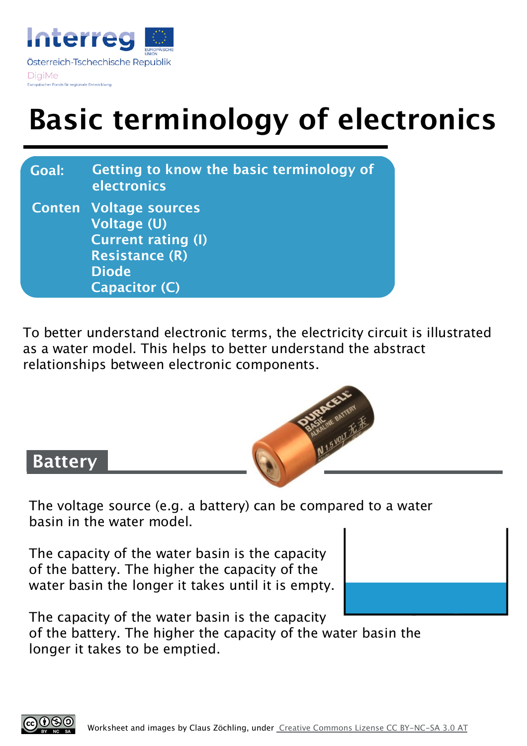

# **Basic terminology of electronics**

| <b>Goal:</b> | Getting to know the basic terminology of<br>electronics                                                                                           |
|--------------|---------------------------------------------------------------------------------------------------------------------------------------------------|
|              | <b>Conten Voltage sources</b><br><b>Voltage (U)</b><br><b>Current rating (I)</b><br><b>Resistance (R)</b><br><b>Diode</b><br><b>Capacitor (C)</b> |

To better understand electronic terms, the electricity circuit is illustrated as a water model. This helps to better understand the abstract relationships between electronic components.



#### **Battery**

The voltage source (e.g. a battery) can be compared to a water basin in the water model.

The capacity of the water basin is the capacity of the battery. The higher the capacity of the water basin the longer it takes until it is empty.



The capacity of the water basin is the capacity of the battery. The higher the capacity of the water basin the longer it takes to be emptied.

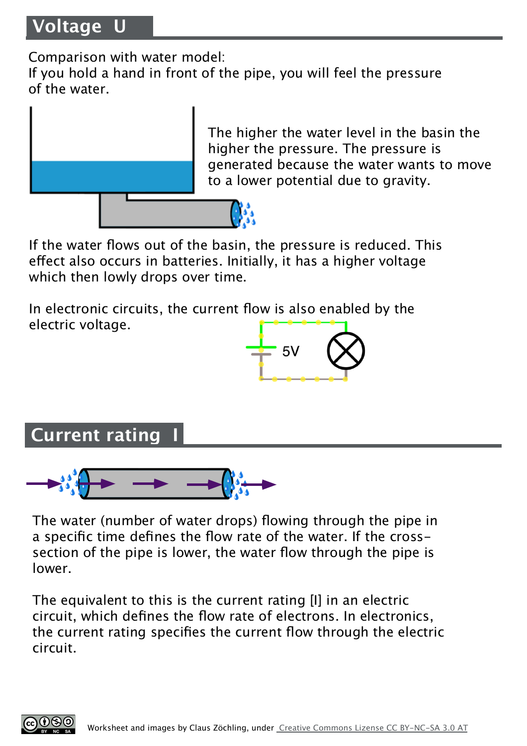Comparison with water model:

If you hold a hand in front of the pipe, you will feel the pressure of the water.



The higher the water level in the basin the higher the pressure. The pressure is generated because the water wants to move to a lower potential due to gravity.

If the water flows out of the basin, the pressure is reduced. This efect also occurs in batteries. Initially, it has a higher voltage which then lowly drops over time.

In electronic circuits, the current flow is also enabled by the electric voltage.



**Current rating** 



The water (number of water drops) flowing through the pipe in a specific time defines the flow rate of the water. If the crosssection of the pipe is lower, the water flow through the pipe is lower.

The equivalent to this is the current rating [I] in an electric circuit, which defines the flow rate of electrons. In electronics, the current rating specifies the current flow through the electric circuit.

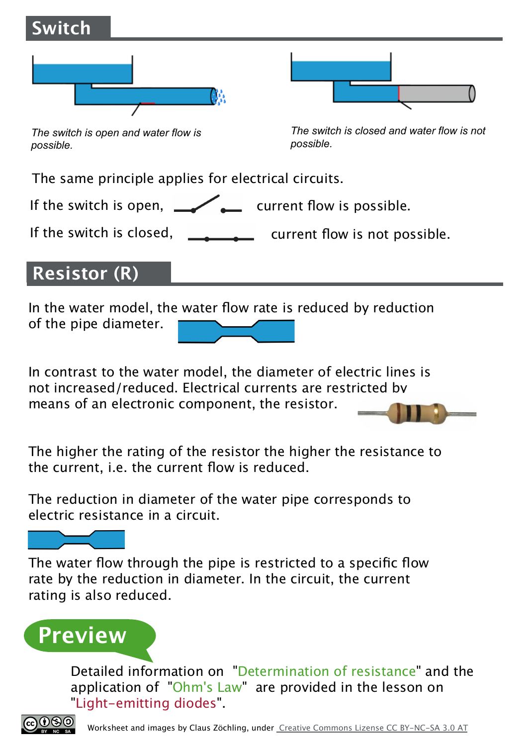

means of an electronic component, the resistor.

The higher the rating of the resistor the higher the resistance to the current, i.e. the current flow is reduced.

The reduction in diameter of the water pipe corresponds to electric resistance in a circuit.

The water flow through the pipe is restricted to a specific flow rate by the reduction in diameter. In the circuit, the current rating is also reduced.

# **Preview**

Detailed information on "Determination of resistance" and the application of "Ohm's Law" are provided in the lesson on "Light-emitting diodes".

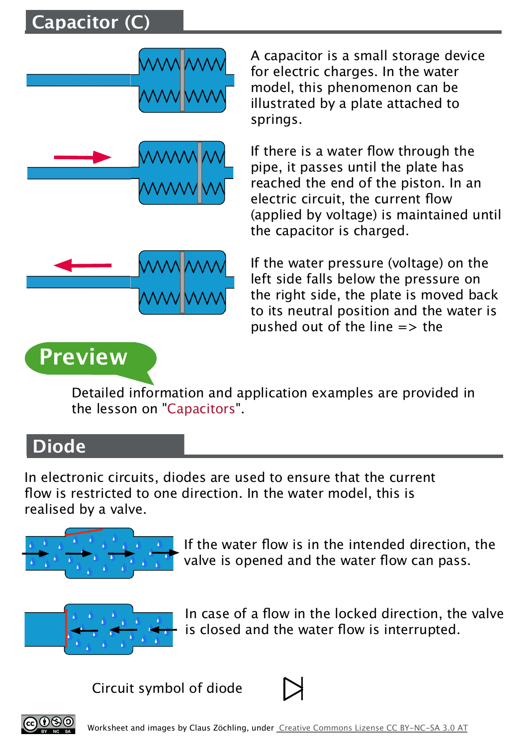## **Capacitor (C)**



A capacitor is a small storage device for electric charges. In the water model, this phenomenon can be illustrated by a plate attached to springs.

If there is a water flow through the pipe, it passes until the plate has reached the end of the piston. In an electric circuit, the current flow (applied by voltage) is maintained until the capacitor is charged.

If the water pressure (voltage) on the left side falls below the pressure on the right side, the plate is moved back to its neutral position and the water is pushed out of the line  $\Rightarrow$  the

# **Preview**

Detailed information and application examples are provided in the lesson on "Capacitors".

### **Diode**

In electronic circuits, diodes are used to ensure that the current flow is restricted to one direction. In the water model, this is realised by a valve.



If the water flow is in the intended direction, the valve is opened and the water flow can pass.



In case of a flow in the locked direction, the valve is closed and the water flow is interrupted.

Circuit symbol of diode



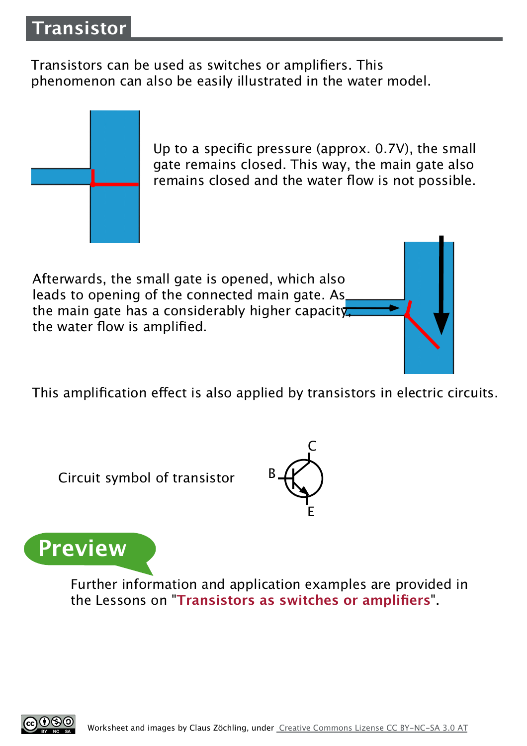Transistors can be used as switches or amplifiers. This phenomenon can also be easily illustrated in the water model.



Up to a specific pressure (approx. 0.7V), the small gate remains closed. This way, the main gate also remains closed and the water flow is not possible.

Afterwards, the small gate is opened, which also leads to opening of the connected main gate. As the main gate has a considerably higher capacity, the water flow is amplified.

This amplification effect is also applied by transistors in electric circuits.

Circuit symbol of transistor





Further information and application examples are provided in the Lessons on "**Transistors as switches or amplifiers**".